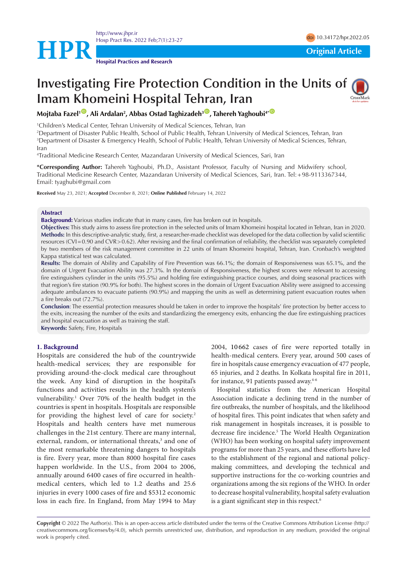<http://www.jhpr.ir> Hosp Pract Res. 2022 Feb;7(1):23-27 doi [10.34172/hpr.2022.05](https://doi.org/10.34172/hpr.2022.05)

**HPR**<br> **Original Article** 



# **Investigating Fire Protection Condition in the Units of Imam Khomeini Hospital Tehran, Iran**

**Mojtaba Fazel1** [ID](https://orcid.org/0000-0003-0463-4257) **, Ali Ardalan2 , Abbas Ostad Taghizadeh3** [ID](https://orcid.org/0000-0001-5260-6221) **, Tahereh Yaghoubi4\*** [ID](https://orcid.org/0000-0001-8526-6745)

1 Children's Medical Center, Tehran University of Medical Sciences, Tehran, Iran

2 Department of Disaster Public Health, School of Public Health, Tehran University of Medical Sciences, Tehran, Iran 3 Department of Disaster & Emergency Health, School of Public Health, Tehran University of Medical Sciences, Tehran, Iran

4 Traditional Medicine Research Center, Mazandaran University of Medical Sciences, Sari, Iran

**\*Corresponding Author:** Tahereh Yaghoubi, Ph.D., Assistant Professor, Faculty of Nursing and Midwifery school, Traditional Medicine Research Center, Mazandaran University of Medical Sciences, Sari, Iran. Tel:+98-9113367344, Email: [tyaghubi@gmail.com](mailto:tyaghubi@gmail.com)

**Received** May 23, 2021; **Accepted** December 8, 2021; **Online Published** February 14, 2022

#### **Abstract**

**Background:** Various studies indicate that in many cases, fire has broken out in hospitals.

**Objectives:** This study aims to assess fire protection in the selected units of Imam Khomeini hospital located in Tehran, Iran in 2020. **Methods:** In this descriptive-analytic study, first, a researcher-made checklist was developed for the data collection by valid scientific resources (CVI=0.90 and CVR>0.62). After revising and the final confirmation of reliability, the checklist was separately completed by two members of the risk management committee in 22 units of Imam Khomeini hospital, Tehran, Iran. Cronbach's weighted Kappa statistical test was calculated.

**Results:** The domain of Ability and Capability of Fire Prevention was 66.1%; the domain of Responsiveness was 65.1%, and the domain of Urgent Evacuation Ability was 27.3%. In the domain of Responsiveness, the highest scores were relevant to accessing fire extinguishers cylinder in the units (95.5%) and holding fire extinguishing practice courses, and doing seasonal practices with that region's fire station (90.9% for both). The highest scores in the domain of Urgent Evacuation Ability were assigned to accessing adequate ambulances to evacuate patients (90.9%) and mapping the units as well as determining patient evacuation routes when a fire breaks out (72.7%).

**Conclusion**: The essential protection measures should be taken in order to improve the hospitals' fire protection by better access to the exits, increasing the number of the exits and standardizing the emergency exits, enhancing the due fire extinguishing practices and hospital evacuation as well as training the staff.

**Keywords:** Safety, Fire, Hospitals

# **1. Background**

Hospitals are considered the hub of the countrywide health-medical services; they are responsible for providing around-the-clock medical care throughout the week. Any kind of disruption in the hospital's functions and activities results in the health system's vulnerability.<sup>1</sup> Over 70% of the health budget in the countries is spent in hospitals. Hospitals are responsible for providing the highest level of care for society.2 Hospitals and health centers have met numerous challenges in the 21st century. There are many internal, external, random, or international threats,<sup>3</sup> and one of the most remarkable threatening dangers to hospitals is fire. Every year, more than 8000 hospital fire cases happen worldwide. In the U.S., from 2004 to 2006, annually around 6400 cases of fire occurred in healthmedical centers, which led to 1.2 deaths and 25.6 injuries in every 1000 cases of fire and \$5312 economic loss in each fire. In England, from May 1994 to May

2004, 10 662 cases of fire were reported totally in health-medical centers. Every year, around 500 cases of fire in hospitals cause emergency evacuation of 477 people, 65 injuries, and 2 deaths. In Kolkata hospital fire in 2011, for instance, 91 patients passed away.<sup>4-6</sup>

Hospital statistics from the American Hospital Association indicate a declining trend in the number of fire outbreaks, the number of hospitals, and the likelihood of hospital fires. This point indicates that when safety and risk management in hospitals increases, it is possible to decrease fire incidence.5 The World Health Organization (WHO) has been working on hospital safety improvement programs for more than 25 years, and these efforts have led to the establishment of the regional and national policymaking committees, and developing the technical and supportive instructions for the co-working countries and organizations among the six regions of the WHO. In order to decrease hospital vulnerability, hospital safety evaluation is a giant significant step in this respect.<sup>6</sup>

**Copyright** © 2022 The Author(s). This is an open-access article distributed under the terms of the Creative Commons Attribution License (http:// creativecommons.org/licenses/by/4.0), which permits unrestricted use, distribution, and reproduction in any medium, provided the original work is properly cited.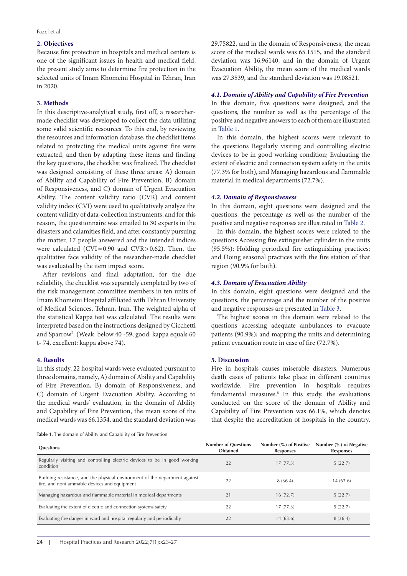## **2. Objectives**

Because fire protection in hospitals and medical centers is one of the significant issues in health and medical field, the present study aims to determine fire protection in the selected units of Imam Khomeini Hospital in Tehran, Iran in 2020.

# **3. Methods**

In this descriptive-analytical study, first off, a researchermade checklist was developed to collect the data utilizing some valid scientific resources. To this end, by reviewing the resources and information database, the checklist items related to protecting the medical units against fire were extracted, and then by adapting these items and finding the key questions, the checklist was finalized. The checklist was designed consisting of these three areas: A) domain of Ability and Capability of Fire Prevention, B) domain of Responsiveness, and C) domain of Urgent Evacuation Ability. The content validity ratio (CVR) and content validity index (CVI) were used to qualitatively analyze the content validity of data-collection instruments, and for this reason, the questionnaire was emailed to 30 experts in the disasters and calamities field, and after constantly pursuing the matter, 17 people answered and the intended indices were calculated  $(CVI = 0.90$  and  $CVR > 0.62$ ). Then, the qualitative face validity of the researcher-made checklist was evaluated by the item impact score.

After revisions and final adaptation, for the due reliability, the checklist was separately completed by two of the risk management committee members in ten units of Imam Khomeini Hospital affiliated with Tehran University of Medical Sciences, Tehran, Iran. The weighted alpha of the statistical Kappa test was calculated. The results were interpreted based on the instructions designed by Cicchetti and Sparrow7 . (Weak: below 40 -59, good: kappa equals 60 t- 74, excellent: kappa above 74).

## **4. Results**

In this study, 22 hospital wards were evaluated pursuant to three domains, namely, A) domain of Ability and Capability of Fire Prevention, B) domain of Responsiveness, and C) domain of Urgent Evacuation Ability. According to the medical wards' evaluation, in the domain of Ability and Capability of Fire Prevention, the mean score of the medical wards was 66.1354, and the standard deviation was

29.75822, and in the domain of Responsiveness, the mean score of the medical wards was 65.1515, and the standard deviation was 16.96140, and in the domain of Urgent Evacuation Ability, the mean score of the medical wards was 27.3539, and the standard deviation was 19.08521.

# *4.1. Domain of Ability and Capability of Fire Prevention*

In this domain, five questions were designed, and the questions, the number as well as the percentage of the positive and negative answers to each of them are illustrated in [Table 1.](#page-1-0)

In this domain, the highest scores were relevant to the questions Regularly visiting and controlling electric devices to be in good working condition; Evaluating the extent of electric and connection system safety in the units (77.3% for both), and Managing hazardous and flammable material in medical departments (72.7%).

## *4.2. Domain of Responsiveness*

In this domain, eight questions were designed and the questions, the percentage as well as the number of the positive and negative responses are illustrated in [Table 2.](#page-2-0)

In this domain, the highest scores were related to the questions Accessing fire extinguisher cylinder in the units (95.5%); Holding periodical fire extinguishing practices; and Doing seasonal practices with the fire station of that region (90.9% for both).

## *4.3. Domain of Evacuation Ability*

In this domain, eight questions were designed and the questions, the percentage and the number of the positive and negative responses are presented in [Table 3.](#page-2-1)

The highest scores in this domain were related to the questions accessing adequate ambulances to evacuate patients (90.9%); and mapping the units and determining patient evacuation route in case of fire (72.7%).

# **5. Discussion**

Fire in hospitals causes miserable disasters. Numerous death cases of patients take place in different countries worldwide. Fire prevention in hospitals requires fundamental measures.8 In this study, the evaluations conducted on the score of the domain of Ability and Capability of Fire Prevention was 66.1%, which denotes that despite the accreditation of hospitals in the country,

<span id="page-1-0"></span>**Table 1**. The domain of Ability and Capability of Fire Prevention

| <b>Questions</b>                                                                                                            | <b>Number of Questions</b><br><b>Obtained</b> | Number $(\%)$ of Positive<br><b>Responses</b> | Number (%) of Negative<br><b>Responses</b> |
|-----------------------------------------------------------------------------------------------------------------------------|-----------------------------------------------|-----------------------------------------------|--------------------------------------------|
| Regularly visiting and controlling electric devices to be in good working<br>condition                                      | 22                                            | 17(77.3)                                      | 5(22.7)                                    |
| Building resistance, and the physical environment of the department against<br>fire, and nonflammable devices and equipment | 22                                            | 8 (36.4)                                      | 14(63.6)                                   |
| Managing hazardous and flammable material in medical departments                                                            | 21                                            | 16(72.7)                                      | 5(22.7)                                    |
| Evaluating the extent of electric and connection systems safety                                                             | 22                                            | 17(77.3)                                      | 5(22.7)                                    |
| Evaluating fire danger in ward and hospital regularly and periodically                                                      | 22                                            | 14(63.6)                                      | 8(36.4)                                    |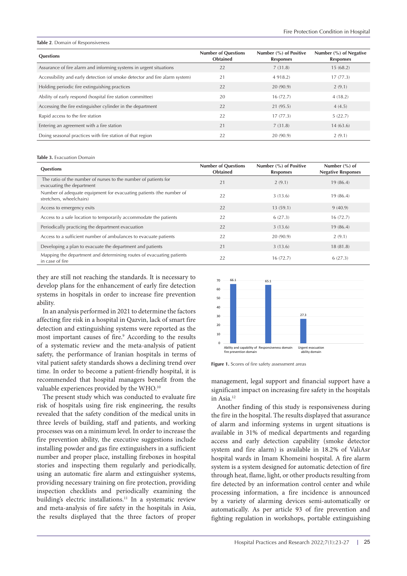#### <span id="page-2-0"></span>**Table 2**. Domain of Responsiveness

| <b>Questions</b>                                                            | <b>Number of Questions</b><br><b>Obtained</b> | Number (%) of Positive<br><b>Responses</b> | Number (%) of Negative<br><b>Responses</b> |
|-----------------------------------------------------------------------------|-----------------------------------------------|--------------------------------------------|--------------------------------------------|
| Assurance of fire alarm and informing systems in urgent situations          | 22                                            | 7(31.8)                                    | 15(68.2)                                   |
| Accessibility and early detection (of smoke detector and fire alarm system) | 21                                            | 4 9 1 8.2)                                 | 17(77.3)                                   |
| Holding periodic fire extinguishing practices                               | 22                                            | 20(90.9)                                   | 2(9.1)                                     |
| Ability of early respond (hospital fire station committee)                  | 20                                            | 16(72.7)                                   | 4(18.2)                                    |
| Accessing the fire extinguisher cylinder in the department                  | 22                                            | 21(95.5)                                   | 4(4.5)                                     |
| Rapid access to the fire station                                            | 22                                            | 17(77.3)                                   | 5(22.7)                                    |
| Entering an agreement with a fire station                                   | 21                                            | 7(31.8)                                    | 14(63.6)                                   |
| Doing seasonal practices with fire station of that region                   | 22                                            | 20(90.9)                                   | 2(9.1)                                     |

#### <span id="page-2-1"></span>**Table 3.** Evacuation Domain

| <b>Questions</b>                                                                                | <b>Number of Questions</b><br><b>Obtained</b> | Number (%) of Positive<br><b>Responses</b> | Number $(\% )$ of<br><b>Negative Responses</b> |
|-------------------------------------------------------------------------------------------------|-----------------------------------------------|--------------------------------------------|------------------------------------------------|
| The ratio of the number of nurses to the number of patients for<br>evacuating the department    | 21                                            | 2(9.1)                                     | 19(86.4)                                       |
| Number of adequate equipment for evacuating patients (the number of<br>stretchers, wheelchairs) | 22                                            | 3(13.6)                                    | 19(86.4)                                       |
| Access to emergency exits                                                                       | 22                                            | 13(59.1)                                   | 9(40.9)                                        |
| Access to a safe location to temporarily accommodate the patients                               | 22                                            | 6(27.3)                                    | 16(72.7)                                       |
| Periodically practicing the department evacuation                                               | 22                                            | 3(13.6)                                    | 19(86.4)                                       |
| Access to a sufficient number of ambulances to evacuate patients                                | 22                                            | 20(90.9)                                   | 2(9.1)                                         |
| Developing a plan to evacuate the department and patients                                       | 21                                            | 3(13.6)                                    | 18(81.8)                                       |
| Mapping the department and determining routes of evacuating patients<br>in case of fire         | 22                                            | 16(72.7)                                   | 6(27.3)                                        |

they are still not reaching the standards. It is necessary to develop plans for the enhancement of early fire detection systems in hospitals in order to increase fire prevention ability.

In an analysis performed in 2021 to determine the factors affecting fire risk in a hospital in Qazvin, lack of smart fire detection and extinguishing systems were reported as the most important causes of fire.<sup>9</sup> According to the results of a systematic review and the meta-analysis of patient safety, the performance of Iranian hospitals in terms of vital patient safety standards shows a declining trend over time. In order to become a patient-friendly hospital, it is recommended that hospital managers benefit from the valuable experiences provided by the WHO.10

The present study which was conducted to evaluate fire risk of hospitals using fire risk engineering, the results revealed that the safety condition of the medical units in three levels of building, staff and patients, and working processes was on a minimum level. In order to increase the fire prevention ability, the executive suggestions include installing powder and gas fire extinguishers in a sufficient number and proper place, installing fireboxes in hospital stories and inspecting them regularly and periodically, using an automatic fire alarm and extinguisher systems, providing necessary training on fire protection, providing inspection checklists and periodically examining the building's electric installations.<sup>11</sup> In a systematic review and meta-analysis of fire safety in the hospitals in Asia, the results displayed that the three factors of proper



Figure 1. Scores of fire safety assessment areas

management, legal support and financial support have a significant impact on increasing fire safety in the hospitals in Asia.12

Another finding of this study is responsiveness during the fire in the hospital. The results displayed that assurance of alarm and informing systems in urgent situations is available in 31% of medical departments and regarding access and early detection capability (smoke detector system and fire alarm) is available in 18.2% of ValiAsr hospital wards in Imam Khomeini hospital. A fire alarm system is a system designed for automatic detection of fire through heat, flame, light, or other products resulting from fire detected by an information control center and while processing information, a fire incidence is announced by a variety of alarming devices semi-automatically or automatically. As per article 93 of fire prevention and fighting regulation in workshops, portable extinguishing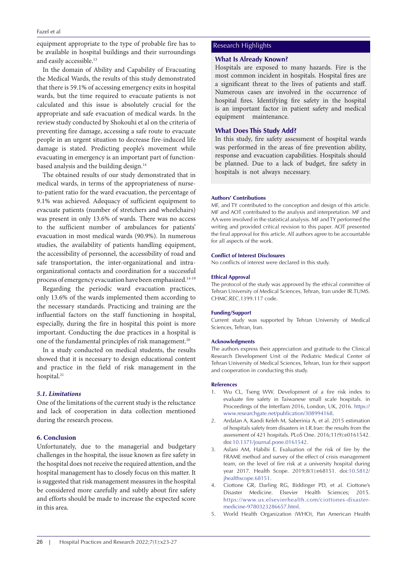equipment appropriate to the type of probable fire has to be available in hospital buildings and their surroundings and easily accessible.13

In the domain of Ability and Capability of Evacuating the Medical Wards, the results of this study demonstrated that there is 59.1% of accessing emergency exits in hospital wards, but the time required to evacuate patients is not calculated and this issue is absolutely crucial for the appropriate and safe evacuation of medical wards. In the review study conducted by Shokouhi et al on the criteria of preventing fire damage, accessing a safe route to evacuate people in an urgent situation to decrease fire-induced life damage is stated. Predicting people's movement while evacuating in emergency is an important part of functionbased analysis and the building design.<sup>14</sup>

The obtained results of our study demonstrated that in medical wards, in terms of the appropriateness of nurseto-patient ratio for the ward evacuation, the percentage of 9.1% was achieved. Adequacy of sufficient equipment to evacuate patients (number of stretchers and wheelchairs) was present in only 13.6% of wards. There was no access to the sufficient number of ambulances for patients' evacuation in most medical wards (90.9%). In numerous studies, the availability of patients handling equipment, the accessibility of personnel, the accessibility of road and safe transportation, the inter-organizational and intraorganizational contacts and coordination for a successful process of emergency evacuation have been emphasized.14-19

Regarding the periodic ward evacuation practices, only 13.6% of the wards implemented them according to the necessary standards. Practicing and training are the influential factors on the staff functioning in hospital, especially, during the fire in hospital this point is more important. Conducting the due practices in a hospital is one of the fundamental principles of risk management.<sup>20</sup>

In a study conducted on medical students, the results showed that it is necessary to design educational content and practice in the field of risk management in the hospital.<sup>21</sup>

# *5.1. Limitations*

One of the limitations of the current study is the reluctance and lack of cooperation in data collection mentioned during the research process.

## **6. Conclusion**

Unfortunately, due to the managerial and budgetary challenges in the hospital, the issue known as fire safety in the hospital does not receive the required attention, and the hospital management has to closely focus on this matter. It is suggested that risk management measures in the hospital be considered more carefully and subtly about fire safety and efforts should be made to increase the expected score in this area.

# Research Highlights

## **What Is Already Known?**

Hospitals are exposed to many hazards. Fire is the most common incident in hospitals. Hospital fires are a significant threat to the lives of patients and staff. Numerous cases are involved in the occurrence of hospital fires. Identifying fire safety in the hospital is an important factor in patient safety and medical equipment maintenance.

# **What Does This Study Add?**

In this study, fire safety assessment of hospital wards was performed in the areas of fire prevention ability, response and evacuation capabilities. Hospitals should be planned. Due to a lack of budget, fire safety in hospitals is not always necessary.

## **Authors' Contributions**

MF, and TY contributed to the conception and design of this article. MF and AOT contributed to the analysis and interpretation. MF and AA were involved in the statistical analysis. MF and TY performed the writing and provided critical revision to this paper. AOT presented the final approval for this article. All authors agree to be accountable for all aspects of the work.

#### **Conflict of Interest Disclosures**

No conflicts of interest were declared in this study.

#### **Ethical Approval**

The protocol of the study was approved by the ethical committee of Tehran University of Medical Sciences, Tehran, Iran under IR.TUMS. CHMC.REC.1399.117 code.

### **Funding/Support**

Current study was supported by Tehran University of Medical Sciences, Tehran, Iran.

### **Acknowledgments**

The authors express their appreciation and gratitude to the Clinical Research Development Unit of the Pediatric Medical Center of Tehran University of Medical Sciences, Tehran, Iran for their support and cooperation in conducting this study.

## **References**

- 1. Wu CL, Tseng WW. Development of a fire risk index to evaluate fire safety in Taiwanese small scale hospitals. in Proceedings of the Interflam 2016, London, UK, 2016. [https://](https://www.researchgate.net/publication/308994168) [www.researchgate.net/publication/308994168.](https://www.researchgate.net/publication/308994168)
- 2. Ardalan A, Kandi Keleh M, Saberinia A, et al. 2015 estimation of hospitals safety from disasters in I.R.Iran: the results from the assessment of 421 hospitals. PLoS One. 2016;11(9):e0161542. doi[:10.1371/journal.pone.0161542.](https://doi.org/10.1371/journal.pone.0161542)
- 3. Aslani AM, Habibi E. Evaluation of the risk of fire by the FRAME method and survey of the effect of crisis management team, on the level of fire risk at a university hospital during year 2017. Health Scope. 2019;8(1):e68151. doi[:10.5812/](https://doi.org/10.5812/jhealthscope.68151) [jhealthscope.68151](https://doi.org/10.5812/jhealthscope.68151).
- 4. Ciottone GR, Darling RG, Biddinger PD, et al. Ciottone's Disaster Medicine. Elsevier Health Sciences; 2015. [https://www.us.elsevierhealth.com/ciottones-disaster](https://www.us.elsevierhealth.com/ciottones-disaster-medicine-9780323286657.html)[medicine-9780323286657.html](https://www.us.elsevierhealth.com/ciottones-disaster-medicine-9780323286657.html).
- 5. World Health Organization (WHO), Pan American Health